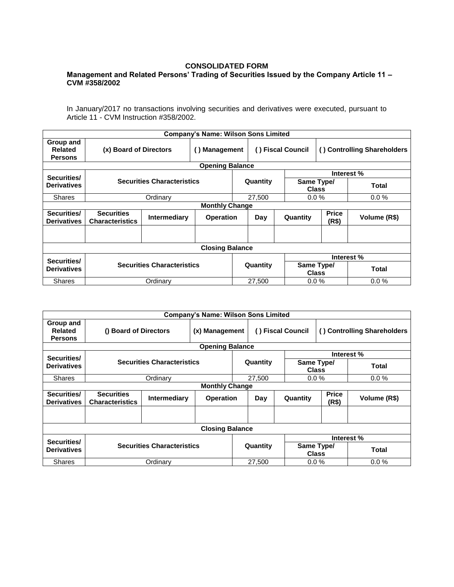## **CONSOLIDATED FORM**

## **Management and Related Persons' Trading of Securities Issued by the Company Article 11 – CVM #358/2002**

In January/2017 no transactions involving securities and derivatives were executed, pursuant to Article 11 - CVM Instruction #358/2002.

|                                               |                                             |                     | <b>Company's Name: Wilson Sons Limited</b> |          |                   |                            |                             |              |  |  |
|-----------------------------------------------|---------------------------------------------|---------------------|--------------------------------------------|----------|-------------------|----------------------------|-----------------------------|--------------|--|--|
| Group and<br><b>Related</b><br><b>Persons</b> | (x) Board of Directors                      |                     | <b>Management</b><br>$\left( \right)$      |          | () Fiscal Council |                            | () Controlling Shareholders |              |  |  |
| <b>Opening Balance</b>                        |                                             |                     |                                            |          |                   |                            |                             |              |  |  |
| Securities/                                   | <b>Securities Characteristics</b>           |                     |                                            | Quantity |                   | Interest %                 |                             |              |  |  |
| <b>Derivatives</b>                            |                                             |                     |                                            |          |                   | Same Type/<br><b>Class</b> |                             | Total        |  |  |
| <b>Shares</b>                                 | Ordinary                                    |                     |                                            |          | 27,500            | $0.0\%$                    |                             | $0.0\%$      |  |  |
| <b>Monthly Change</b>                         |                                             |                     |                                            |          |                   |                            |                             |              |  |  |
| Securities/<br><b>Derivatives</b>             | <b>Securities</b><br><b>Characteristics</b> | <b>Intermediary</b> | <b>Operation</b>                           |          | Day               | Quantity                   | <b>Price</b><br>(R\$)       | Volume (R\$) |  |  |
|                                               |                                             |                     |                                            |          |                   |                            |                             |              |  |  |
| <b>Closing Balance</b>                        |                                             |                     |                                            |          |                   |                            |                             |              |  |  |
| Securities/                                   |                                             |                     |                                            |          |                   | Interest %                 |                             |              |  |  |
| <b>Derivatives</b>                            | <b>Securities Characteristics</b>           |                     |                                            | Quantity |                   | Same Type/<br><b>Class</b> |                             | Total        |  |  |
| <b>Shares</b>                                 | Ordinarv                                    |                     |                                            |          | 27.500            | $0.0\%$                    |                             | $0.0\%$      |  |  |

| <b>Company's Name: Wilson Sons Limited</b> |                                             |                     |                  |          |                   |                            |                             |              |  |  |
|--------------------------------------------|---------------------------------------------|---------------------|------------------|----------|-------------------|----------------------------|-----------------------------|--------------|--|--|
| Group and<br>Related<br><b>Persons</b>     | () Board of Directors<br>(x) Management     |                     |                  |          | () Fiscal Council |                            | () Controlling Shareholders |              |  |  |
| <b>Opening Balance</b>                     |                                             |                     |                  |          |                   |                            |                             |              |  |  |
| Securities/                                | <b>Securities Characteristics</b>           |                     |                  | Quantity |                   | Interest %                 |                             |              |  |  |
| <b>Derivatives</b>                         |                                             |                     |                  |          |                   | Same Type/<br><b>Class</b> |                             | <b>Total</b> |  |  |
| <b>Shares</b>                              | Ordinary                                    |                     |                  |          | 27,500            | $0.0\%$                    |                             | $0.0\%$      |  |  |
| <b>Monthly Change</b>                      |                                             |                     |                  |          |                   |                            |                             |              |  |  |
| Securities/<br><b>Derivatives</b>          | <b>Securities</b><br><b>Characteristics</b> | <b>Intermediary</b> | <b>Operation</b> |          | Day               | Quantity                   | <b>Price</b><br>(R\$)       | Volume (R\$) |  |  |
|                                            |                                             |                     |                  |          |                   |                            |                             |              |  |  |
| <b>Closing Balance</b>                     |                                             |                     |                  |          |                   |                            |                             |              |  |  |
| Securities/                                | <b>Securities Characteristics</b>           |                     |                  | Quantity |                   | Interest %                 |                             |              |  |  |
| <b>Derivatives</b>                         |                                             |                     |                  |          |                   | Same Type/<br><b>Class</b> |                             | <b>Total</b> |  |  |
| <b>Shares</b>                              | Ordinarv                                    |                     |                  |          | 27,500            | $0.0\%$                    |                             | 0.0%         |  |  |